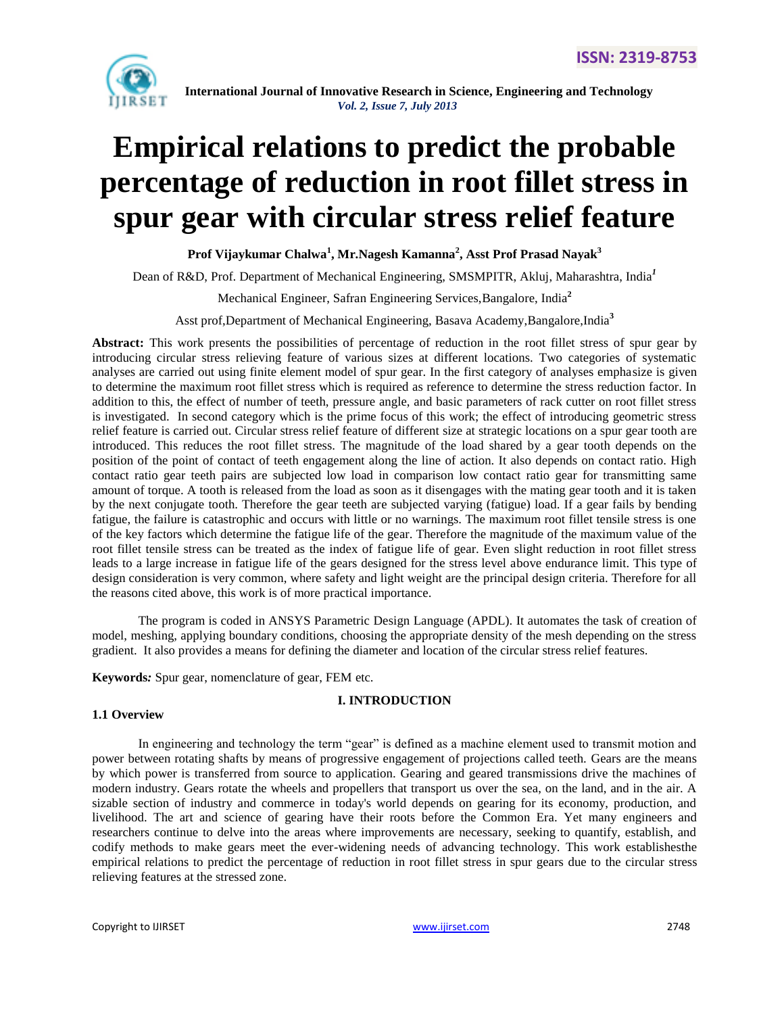

# **Empirical relations to predict the probable percentage of reduction in root fillet stress in spur gear with circular stress relief feature**

**Prof Vijaykumar Chalwa<sup>1</sup> , Mr.Nagesh Kamanna<sup>2</sup> , Asst Prof Prasad Nayak<sup>3</sup>**

Dean of R&D, Prof. Department of Mechanical Engineering, SMSMPITR, Akluj, Maharashtra, India*<sup>1</sup>*

Mechanical Engineer, Safran Engineering Services,Bangalore, India**<sup>2</sup>**

Asst prof,Department of Mechanical Engineering, Basava Academy,Bangalore,India**<sup>3</sup>**

**Abstract:** This work presents the possibilities of percentage of reduction in the root fillet stress of spur gear by introducing circular stress relieving feature of various sizes at different locations. Two categories of systematic analyses are carried out using finite element model of spur gear. In the first category of analyses emphasize is given to determine the maximum root fillet stress which is required as reference to determine the stress reduction factor. In addition to this, the effect of number of teeth, pressure angle, and basic parameters of rack cutter on root fillet stress is investigated. In second category which is the prime focus of this work; the effect of introducing geometric stress relief feature is carried out. Circular stress relief feature of different size at strategic locations on a spur gear tooth are introduced. This reduces the root fillet stress. The magnitude of the load shared by a gear tooth depends on the position of the point of contact of teeth engagement along the line of action. It also depends on contact ratio. High contact ratio gear teeth pairs are subjected low load in comparison low contact ratio gear for transmitting same amount of torque. A tooth is released from the load as soon as it disengages with the mating gear tooth and it is taken by the next conjugate tooth. Therefore the gear teeth are subjected varying (fatigue) load. If a gear fails by bending fatigue, the failure is catastrophic and occurs with little or no warnings. The maximum root fillet tensile stress is one of the key factors which determine the fatigue life of the gear. Therefore the magnitude of the maximum value of the root fillet tensile stress can be treated as the index of fatigue life of gear. Even slight reduction in root fillet stress leads to a large increase in fatigue life of the gears designed for the stress level above endurance limit. This type of design consideration is very common, where safety and light weight are the principal design criteria. Therefore for all the reasons cited above, this work is of more practical importance.

The program is coded in ANSYS Parametric Design Language (APDL). It automates the task of creation of model, meshing, applying boundary conditions, choosing the appropriate density of the mesh depending on the stress gradient. It also provides a means for defining the diameter and location of the circular stress relief features.

**Keywords***:* Spur gear, nomenclature of gear, FEM etc.

#### **I. INTRODUCTION**

#### **1.1 Overview**

In engineering and technology the term "gear" is defined as a machine element used to transmit motion and power between rotating shafts by means of progressive engagement of projections called teeth. Gears are the means by which power is transferred from source to application. Gearing and geared transmissions drive the machines of modern industry. Gears rotate the wheels and propellers that transport us over the sea, on the land, and in the air. A sizable section of industry and commerce in today's world depends on gearing for its economy, production, and livelihood. The art and science of gearing have their roots before the Common Era. Yet many engineers and researchers continue to delve into the areas where improvements are necessary, seeking to quantify, establish, and codify methods to make gears meet the ever-widening needs of advancing technology. This work establishesthe empirical relations to predict the percentage of reduction in root fillet stress in spur gears due to the circular stress relieving features at the stressed zone.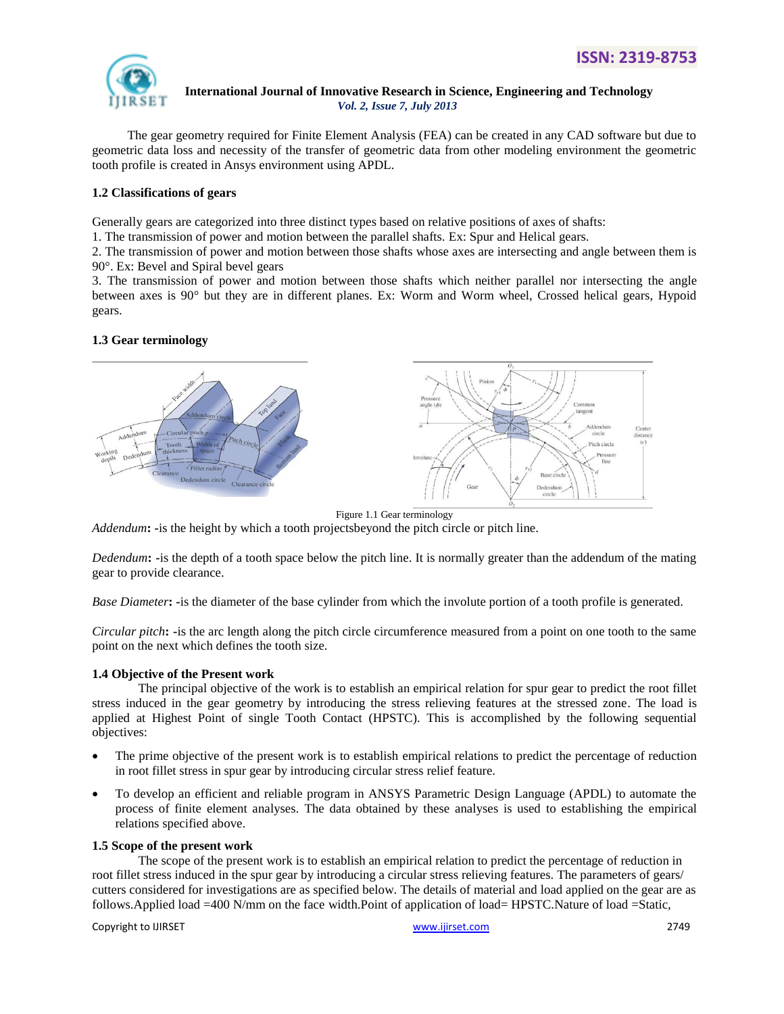

 The gear geometry required for Finite Element Analysis (FEA) can be created in any CAD software but due to geometric data loss and necessity of the transfer of geometric data from other modeling environment the geometric tooth profile is created in Ansys environment using APDL.

# **1.2 Classifications of gears**

Generally gears are categorized into three distinct types based on relative positions of axes of shafts:

1. The transmission of power and motion between the parallel shafts. Ex: Spur and Helical gears.

2. The transmission of power and motion between those shafts whose axes are intersecting and angle between them is 90°. Ex: Bevel and Spiral bevel gears

3. The transmission of power and motion between those shafts which neither parallel nor intersecting the angle between axes is 90° but they are in different planes. Ex: Worm and Worm wheel, Crossed helical gears, Hypoid gears.

# **1.3 Gear terminology**



Figure 1.1 Gear terminology

*Addendum***: -**is the height by which a tooth projectsbeyond the pitch circle or pitch line.

*Dedendum***: -**is the depth of a tooth space below the pitch line. It is normally greater than the addendum of the mating gear to provide clearance.

*Base Diameter***: -**is the diameter of the base cylinder from which the involute portion of a tooth profile is generated.

*Circular pitch***: -**is the arc length along the pitch circle circumference measured from a point on one tooth to the same point on the next which defines the tooth size.

# **1.4 Objective of the Present work**

The principal objective of the work is to establish an empirical relation for spur gear to predict the root fillet stress induced in the gear geometry by introducing the stress relieving features at the stressed zone. The load is applied at Highest Point of single Tooth Contact (HPSTC). This is accomplished by the following sequential objectives:

- The prime objective of the present work is to establish empirical relations to predict the percentage of reduction in root fillet stress in spur gear by introducing circular stress relief feature.
- To develop an efficient and reliable program in ANSYS Parametric Design Language (APDL) to automate the process of finite element analyses. The data obtained by these analyses is used to establishing the empirical relations specified above.

# **1.5 Scope of the present work**

The scope of the present work is to establish an empirical relation to predict the percentage of reduction in root fillet stress induced in the spur gear by introducing a circular stress relieving features. The parameters of gears/ cutters considered for investigations are as specified below. The details of material and load applied on the gear are as follows.Applied load =400 N/mm on the face width.Point of application of load= HPSTC.Nature of load =Static,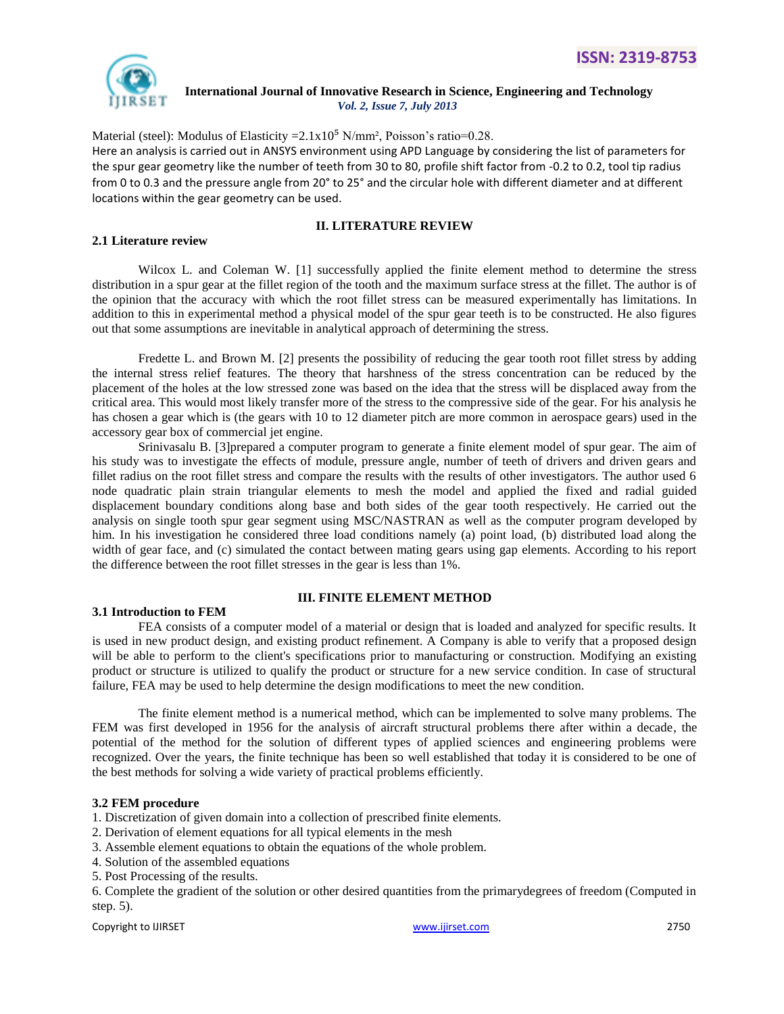

Material (steel): Modulus of Elasticity =  $2.1 \times 10^5$  N/mm<sup>2</sup>, Poisson's ratio=0.28. Here an analysis is carried out in ANSYS environment using APD Language by considering the list of parameters for the spur gear geometry like the number of teeth from 30 to 80, profile shift factor from -0.2 to 0.2, tool tip radius from 0 to 0.3 and the pressure angle from 20° to 25° and the circular hole with different diameter and at different locations within the gear geometry can be used.

# **2.1 Literature review**

# **II. LITERATURE REVIEW**

Wilcox L. and Coleman W. [1] successfully applied the finite element method to determine the stress distribution in a spur gear at the fillet region of the tooth and the maximum surface stress at the fillet. The author is of the opinion that the accuracy with which the root fillet stress can be measured experimentally has limitations. In addition to this in experimental method a physical model of the spur gear teeth is to be constructed. He also figures out that some assumptions are inevitable in analytical approach of determining the stress.

Fredette L. and Brown M. [2] presents the possibility of reducing the gear tooth root fillet stress by adding the internal stress relief features. The theory that harshness of the stress concentration can be reduced by the placement of the holes at the low stressed zone was based on the idea that the stress will be displaced away from the critical area. This would most likely transfer more of the stress to the compressive side of the gear. For his analysis he has chosen a gear which is (the gears with 10 to 12 diameter pitch are more common in aerospace gears) used in the accessory gear box of commercial jet engine.

Srinivasalu B. [3]prepared a computer program to generate a finite element model of spur gear. The aim of his study was to investigate the effects of module, pressure angle, number of teeth of drivers and driven gears and fillet radius on the root fillet stress and compare the results with the results of other investigators. The author used 6 node quadratic plain strain triangular elements to mesh the model and applied the fixed and radial guided displacement boundary conditions along base and both sides of the gear tooth respectively. He carried out the analysis on single tooth spur gear segment using MSC/NASTRAN as well as the computer program developed by him. In his investigation he considered three load conditions namely (a) point load, (b) distributed load along the width of gear face, and (c) simulated the contact between mating gears using gap elements. According to his report the difference between the root fillet stresses in the gear is less than 1%.

#### **3.1 Introduction to FEM**

# **III. FINITE ELEMENT METHOD**

FEA consists of a computer model of a material or design that is loaded and analyzed for specific results. It is used in new product design, and existing product refinement. A Company is able to verify that a proposed design will be able to perform to the client's specifications prior to manufacturing or construction. Modifying an existing product or structure is utilized to qualify the product or structure for a new service condition. In case of structural failure, FEA may be used to help determine the design modifications to meet the new condition.

The finite element method is a numerical method, which can be implemented to solve many problems. The FEM was first developed in 1956 for the analysis of aircraft structural problems there after within a decade, the potential of the method for the solution of different types of applied sciences and engineering problems were recognized. Over the years, the finite technique has been so well established that today it is considered to be one of the best methods for solving a wide variety of practical problems efficiently.

# **3.2 FEM procedure**

1. Discretization of given domain into a collection of prescribed finite elements.

- 2. Derivation of element equations for all typical elements in the mesh
- 3. Assemble element equations to obtain the equations of the whole problem.
- 4. Solution of the assembled equations
- 5. Post Processing of the results.

6. Complete the gradient of the solution or other desired quantities from the primarydegrees of freedom (Computed in step. 5).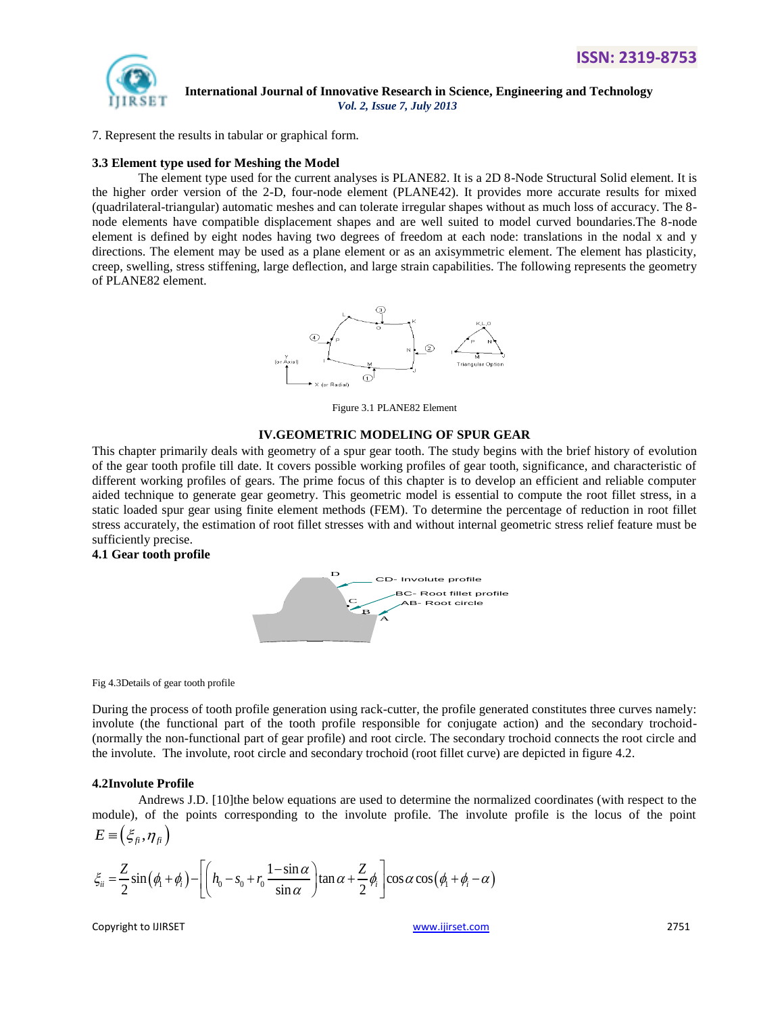

7. Represent the results in tabular or graphical form.

#### **3.3 Element type used for Meshing the Model**

The element type used for the current analyses is PLANE82. It is a 2D 8-Node Structural Solid element. It is the higher order version of the 2-D, four-node element (PLANE42). It provides more accurate results for mixed (quadrilateral-triangular) automatic meshes and can tolerate irregular shapes without as much loss of accuracy. The 8 node elements have compatible displacement shapes and are well suited to model curved boundaries.The 8-node element is defined by eight nodes having two degrees of freedom at each node: translations in the nodal x and y directions. The element may be used as a plane element or as an axisymmetric element. The element has plasticity, creep, swelling, stress stiffening, large deflection, and large strain capabilities. The following represents the geometry of PLANE82 element.



Figure 3.1 PLANE82 Element

#### **IV.GEOMETRIC MODELING OF SPUR GEAR**

This chapter primarily deals with geometry of a spur gear tooth. The study begins with the brief history of evolution of the gear tooth profile till date. It covers possible working profiles of gear tooth, significance, and characteristic of different working profiles of gears. The prime focus of this chapter is to develop an efficient and reliable computer aided technique to generate gear geometry. This geometric model is essential to compute the root fillet stress, in a static loaded spur gear using finite element methods (FEM). To determine the percentage of reduction in root fillet stress accurately, the estimation of root fillet stresses with and without internal geometric stress relief feature must be sufficiently precise.

#### **4.1 Gear tooth profile**



Fig 4.3Details of gear tooth profile

During the process of tooth profile generation using rack-cutter, the profile generated constitutes three curves namely: involute (the functional part of the tooth profile responsible for conjugate action) and the secondary trochoid- (normally the non-functional part of gear profile) and root circle. The secondary trochoid connects the root circle and the involute. The involute, root circle and secondary trochoid (root fillet curve) are depicted in figure 4.2.

#### **4.2Involute Profile**

Andrews J.D. [10]the below equations are used to determine the normalized coordinates (with respect to the module), of the points corresponding to the involute profile. The involute profile is the locus of the point  $E = (\xi_{\hat{\mu}}, \eta_{\hat{\mu}})$ 

$$
E = \left(\xi_{fi}, \eta_{fi}\right)
$$
  
\n
$$
\xi_{ii} = \frac{Z}{2} \sin(\phi_i + \phi_i) - \left[ \left(h_0 - s_0 + r_0 \frac{1 - \sin \alpha}{\sin \alpha}\right) \tan \alpha + \frac{Z}{2} \phi_i \right] \cos \alpha \cos(\phi_i + \phi_i - \alpha)
$$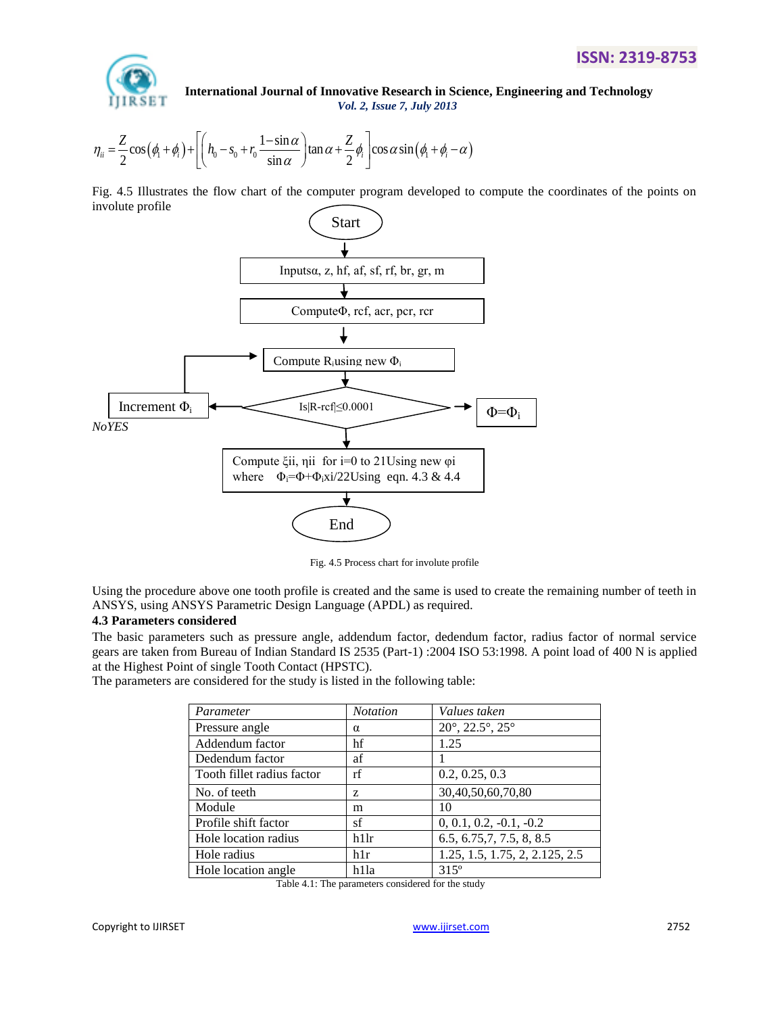

**International Journal of Innovative Research in Science, Engineering and Technology**<br>  $Vol. 2$ , *Issue 7*, *July 2013*<br>  $S(\phi_1 + \phi_i) + \left[ \left( h_0 - s_0 + r_0 \frac{1 - \sin \alpha}{\alpha} \right) \tan \alpha + \frac{Z}{2} \phi_i \right] \cos \alpha \sin(\phi_1 + \phi_i - \alpha)$ *Vol. 2, Issue 7, July 2013*

**IDENTIFY** International Journal of Innovative Research in Science, Engr  
\n
$$
Vol. 2, Issue 7, July 2013
$$
\n
$$
\eta_{ii} = \frac{Z}{2} \cos(\phi_i + \phi_i) + \left[ \left( h_0 - s_0 + r_0 \frac{1 - \sin \alpha}{\sin \alpha} \right) \tan \alpha + \frac{Z}{2} \phi_i \right] \cos \alpha \sin(\phi_i + \phi_i - \alpha)
$$

Fig. 4.5 Illustrates the flow chart of the computer program developed to compute the coordinates of the points on involute profile



Fig. 4.5 Process chart for involute profile

Using the procedure above one tooth profile is created and the same is used to create the remaining number of teeth in ANSYS, using ANSYS Parametric Design Language (APDL) as required.

#### **4.3 Parameters considered**

The basic parameters such as pressure angle, addendum factor, dedendum factor, radius factor of normal service gears are taken from Bureau of Indian Standard IS 2535 (Part-1) :2004 ISO 53:1998. A point load of 400 N is applied at the Highest Point of single Tooth Contact (HPSTC).

The parameters are considered for the study is listed in the following table:

| Parameter                  | <b>Notation</b> | Values taken                                 |  |
|----------------------------|-----------------|----------------------------------------------|--|
| Pressure angle             | $\alpha$        | $20^{\circ}$ , $22.5^{\circ}$ , $25^{\circ}$ |  |
| Addendum factor            | hf              | 1.25                                         |  |
| Dedendum factor            | af              |                                              |  |
| Tooth fillet radius factor | rf              | 0.2, 0.25, 0.3                               |  |
| No. of teeth               | Z               | 30,40,50,60,70,80                            |  |
| Module                     | m               | 10                                           |  |
| Profile shift factor       | sf              | $0, 0.1, 0.2, -0.1, -0.2$                    |  |
| Hole location radius       | h11r            | 6.5, 6.75, 7, 7.5, 8, 8.5                    |  |
| Hole radius                | h1r             | 1.25, 1.5, 1.75, 2, 2.125, 2.5               |  |
| Hole location angle        | h1la            | $315^{\circ}$                                |  |

| Table 4.1: The parameters considered for the study |  |  |  |
|----------------------------------------------------|--|--|--|
|                                                    |  |  |  |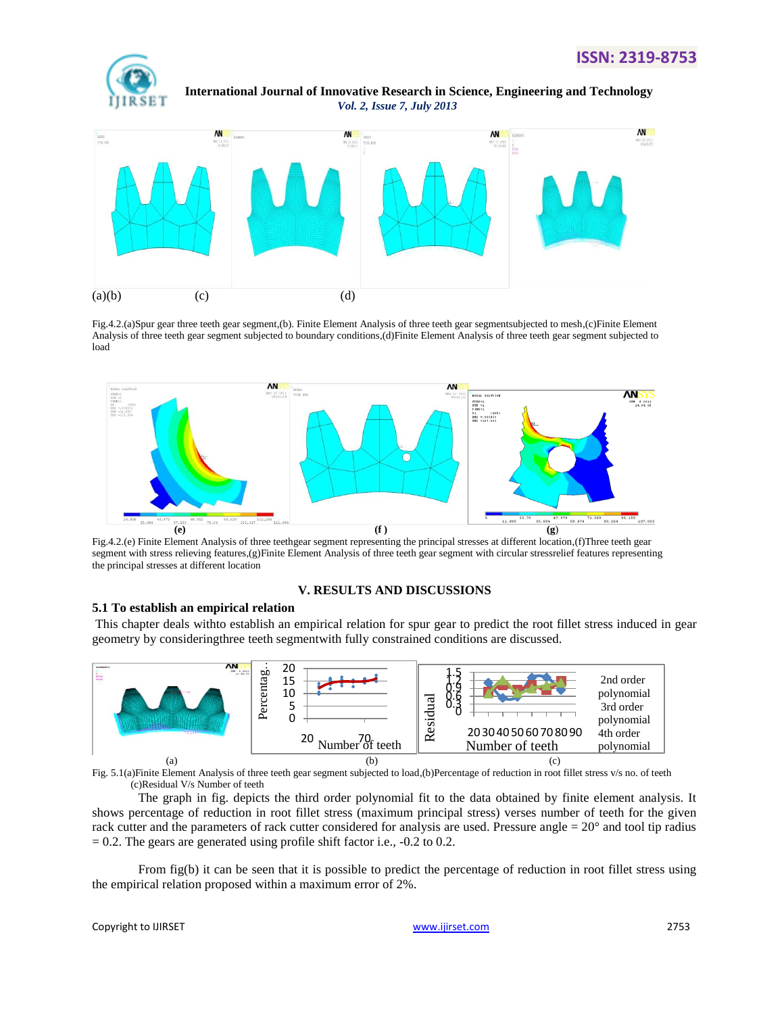



Fig.4.2.(a)Spur gear three teeth gear segment,(b). Finite Element Analysis of three teeth gear segmentsubjected to mesh,(c)Finite Element Analysis of three teeth gear segment subjected to boundary conditions,(d)Finite Element Analysis of three teeth gear segment subjected to load



Fig.4.2.(e) Finite Element Analysis of three teethgear segment representing the principal stresses at different location,(f)Three teeth gear segment with stress relieving features,(g)Finite Element Analysis of three teeth gear segment with circular stressrelief features representing the principal stresses at different location

#### **V. RESULTS AND DISCUSSIONS**

#### **5.1 To establish an empirical relation**

This chapter deals withto establish an empirical relation for spur gear to predict the root fillet stress induced in gear geometry by consideringthree teeth segmentwith fully constrained conditions are discussed.



Fig. 5.1(a)Finite Element Analysis of three teeth gear segment subjected to load,(b)Percentage of reduction in root fillet stress v/s no. of teeth (c)Residual V/s Number of teeth

The graph in fig. depicts the third order polynomial fit to the data obtained by finite element analysis. It shows percentage of reduction in root fillet stress (maximum principal stress) verses number of teeth for the given rack cutter and the parameters of rack cutter considered for analysis are used. Pressure angle  $= 20^{\circ}$  and tool tip radius  $= 0.2$ . The gears are generated using profile shift factor i.e.,  $-0.2$  to 0.2.

From fig(b) it can be seen that it is possible to predict the percentage of reduction in root fillet stress using the empirical relation proposed within a maximum error of 2%.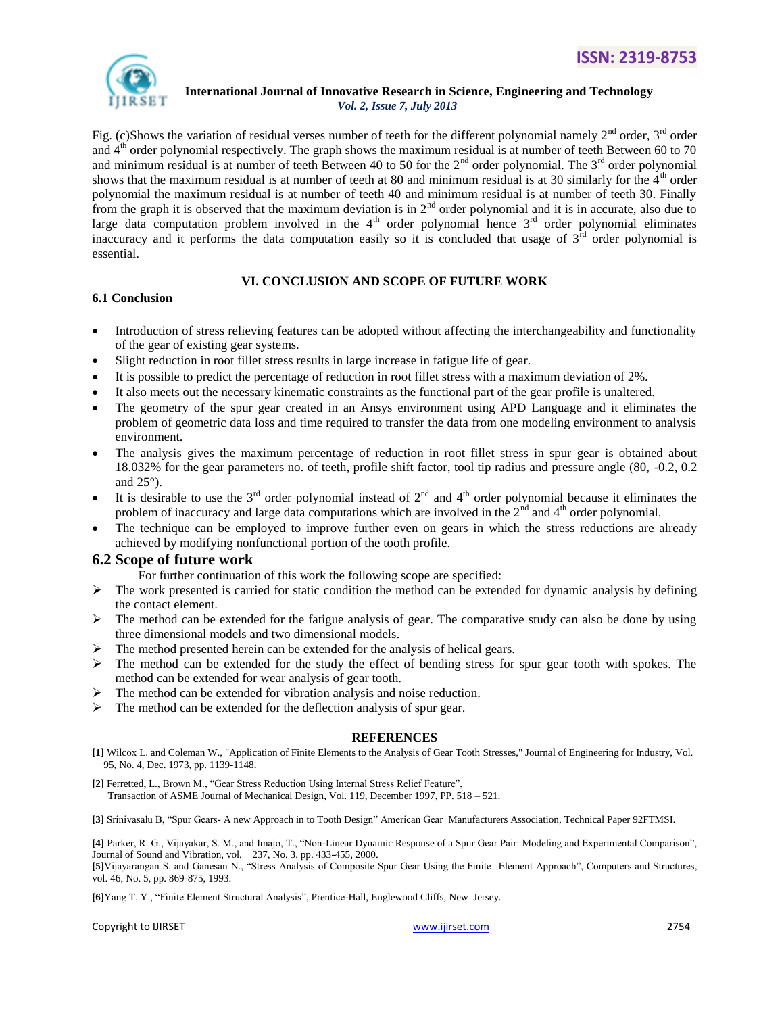

Fig. (c)Shows the variation of residual verses number of teeth for the different polynomial namely  $2<sup>nd</sup>$  order,  $3<sup>rd</sup>$  order and  $4<sup>th</sup>$  order polynomial respectively. The graph shows the maximum residual is at number of teeth Between 60 to 70 and minimum residual is at number of teeth Between 40 to 50 for the  $2<sup>nd</sup>$  order polynomial. The  $3<sup>rd</sup>$  order polynomial shows that the maximum residual is at number of teeth at 80 and minimum residual is at 30 similarly for the  $4<sup>th</sup>$  order polynomial the maximum residual is at number of teeth 40 and minimum residual is at number of teeth 30. Finally from the graph it is observed that the maximum deviation is in  $2<sup>nd</sup>$  order polynomial and it is in accurate, also due to large data computation problem involved in the  $4<sup>th</sup>$  order polynomial hence  $3<sup>rd</sup>$  order polynomial eliminates inaccuracy and it performs the data computation easily so it is concluded that usage of  $3<sup>rd</sup>$  order polynomial is essential.

# **VI. CONCLUSION AND SCOPE OF FUTURE WORK**

# **6.1 Conclusion**

- Introduction of stress relieving features can be adopted without affecting the interchangeability and functionality of the gear of existing gear systems.
- Slight reduction in root fillet stress results in large increase in fatigue life of gear.
- It is possible to predict the percentage of reduction in root fillet stress with a maximum deviation of 2%.
- It also meets out the necessary kinematic constraints as the functional part of the gear profile is unaltered.
- The geometry of the spur gear created in an Ansys environment using APD Language and it eliminates the problem of geometric data loss and time required to transfer the data from one modeling environment to analysis environment.
- The analysis gives the maximum percentage of reduction in root fillet stress in spur gear is obtained about 18.032% for the gear parameters no. of teeth, profile shift factor, tool tip radius and pressure angle (80, -0.2, 0.2 and  $25^{\circ}$ ).
- It is desirable to use the  $3^{rd}$  order polynomial instead of  $2^{nd}$  and  $4^{th}$  order polynomial because it eliminates the problem of inaccuracy and large data computations which are involved in the  $2<sup>nd</sup>$  and  $4<sup>th</sup>$  order polynomial.
- The technique can be employed to improve further even on gears in which the stress reductions are already achieved by modifying nonfunctional portion of the tooth profile.

# **6.2 Scope of future work**

For further continuation of this work the following scope are specified:

- $\triangleright$  The work presented is carried for static condition the method can be extended for dynamic analysis by defining the contact element.
- $\triangleright$  The method can be extended for the fatigue analysis of gear. The comparative study can also be done by using three dimensional models and two dimensional models.
- $\triangleright$  The method presented herein can be extended for the analysis of helical gears.
- $\triangleright$  The method can be extended for the study the effect of bending stress for spur gear tooth with spokes. The method can be extended for wear analysis of gear tooth.
- The method can be extended for vibration analysis and noise reduction.
- $\triangleright$  The method can be extended for the deflection analysis of spur gear.

# **REFERENCES**

**[1]** Wilcox L. and Coleman W., "Application of Finite Elements to the Analysis of Gear Tooth Stresses," Journal of Engineering for Industry, Vol. 95, No. 4, Dec. 1973, pp. 1139-1148.

**[2]** Ferretted, L., Brown M., "Gear Stress Reduction Using Internal Stress Relief Feature", Transaction of ASME Journal of Mechanical Design, Vol. 119, December 1997, PP. 518 – 521.

**[3]** Srinivasalu B, "Spur Gears- A new Approach in to Tooth Design" American Gear Manufacturers Association, Technical Paper 92FTMSI.

**[4]** Parker, R. G., Vijayakar, S. M., and Imajo, T., "Non-Linear Dynamic Response of a Spur Gear Pair: Modeling and Experimental Comparison", Journal of Sound and Vibration, vol. 237, No. 3, pp. 433-455, 2000.

**[5]**Vijayarangan S. and Ganesan N., "Stress Analysis of Composite Spur Gear Using the Finite Element Approach", Computers and Structures, vol. 46, No. 5, pp. 869-875, 1993.

**[6]**Yang T. Y., "Finite Element Structural Analysis", Prentice-Hall, Englewood Cliffs, New Jersey.